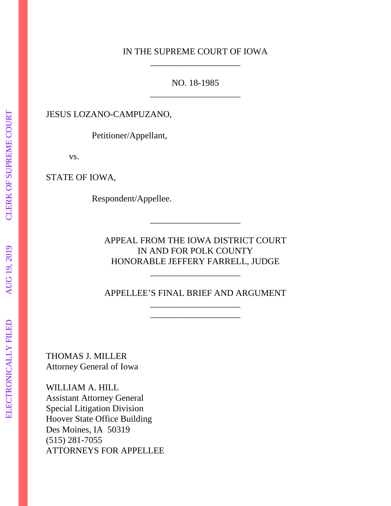## IN THE SUPREME COURT OF IOWA \_\_\_\_\_\_\_\_\_\_\_\_\_\_\_\_\_\_\_\_

NO. 18-1985 \_\_\_\_\_\_\_\_\_\_\_\_\_\_\_\_\_\_\_\_

JESUS LOZANO-CAMPUZANO,

Petitioner/Appellant,

vs.

STATE OF IOWA,

Respondent/Appellee.

APPEAL FROM THE IOWA DISTRICT COURT IN AND FOR POLK COUNTY HONORABLE JEFFERY FARRELL, JUDGE

\_\_\_\_\_\_\_\_\_\_\_\_\_\_\_\_\_\_\_\_

APPELLEE'S FINAL BRIEF AND ARGUMENT \_\_\_\_\_\_\_\_\_\_\_\_\_\_\_\_\_\_\_\_

\_\_\_\_\_\_\_\_\_\_\_\_\_\_\_\_\_\_\_\_

\_\_\_\_\_\_\_\_\_\_\_\_\_\_\_\_\_\_\_\_

THOMAS J. MILLER Attorney General of Iowa

WILLIAM A. HILL Assistant Attorney General Special Litigation Division Hoover State Office Building Des Moines, IA 50319 (515) 281-7055 ATTORNEYS FOR APPELLEE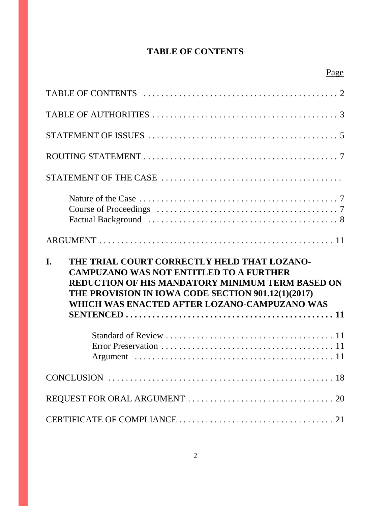# **TABLE OF CONTENTS**

| THE TRIAL COURT CORRECTLY HELD THAT LOZANO-<br>I.<br><b>CAMPUZANO WAS NOT ENTITLED TO A FURTHER</b><br><b>REDUCTION OF HIS MANDATORY MINIMUM TERM BASED ON</b><br>THE PROVISION IN IOWA CODE SECTION 901.12(1)(2017)<br>WHICH WAS ENACTED AFTER LOZANO-CAMPUZANO WAS |
|----------------------------------------------------------------------------------------------------------------------------------------------------------------------------------------------------------------------------------------------------------------------|
|                                                                                                                                                                                                                                                                      |
|                                                                                                                                                                                                                                                                      |
|                                                                                                                                                                                                                                                                      |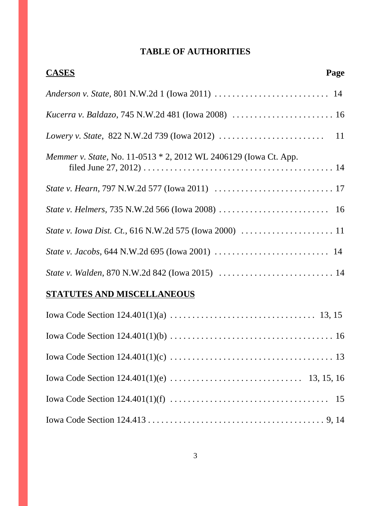# **TABLE OF AUTHORITIES**

| <b>CASES</b>                                                                                             | Page |
|----------------------------------------------------------------------------------------------------------|------|
|                                                                                                          |      |
|                                                                                                          |      |
| Lowery v. State, 822 N.W.2d 739 (Iowa 2012) $\ldots \ldots \ldots \ldots \ldots \ldots \ldots \ldots$ 11 |      |
| <i>Memmer v. State, No.</i> 11-0513 * 2, 2012 WL 2406129 (Iowa Ct. App.                                  |      |
|                                                                                                          |      |
|                                                                                                          |      |
|                                                                                                          |      |
|                                                                                                          |      |
|                                                                                                          |      |
| <b>STATUTES AND MISCELLANEOUS</b>                                                                        |      |
|                                                                                                          |      |
|                                                                                                          |      |
|                                                                                                          |      |
|                                                                                                          |      |
|                                                                                                          |      |
|                                                                                                          |      |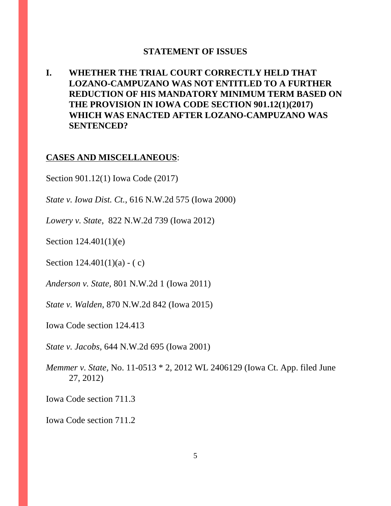#### **STATEMENT OF ISSUES**

**I. WHETHER THE TRIAL COURT CORRECTLY HELD THAT LOZANO-CAMPUZANO WAS NOT ENTITLED TO A FURTHER REDUCTION OF HIS MANDATORY MINIMUM TERM BASED ON THE PROVISION IN IOWA CODE SECTION 901.12(1)(2017) WHICH WAS ENACTED AFTER LOZANO-CAMPUZANO WAS SENTENCED?**

#### **CASES AND MISCELLANEOUS**:

Section 901.12(1) Iowa Code (2017)

*State v. Iowa Dist. Ct.*, 616 N.W.2d 575 (Iowa 2000)

*Lowery v. State*, 822 N.W.2d 739 (Iowa 2012)

Section 124.401(1)(e)

Section  $124.401(1)(a) - (c)$ 

*Anderson v. State,* 801 N.W.2d 1 (Iowa 2011)

*State v. Walden*, 870 N.W.2d 842 (Iowa 2015)

Iowa Code section 124.413

*State v. Jacobs*, 644 N.W.2d 695 (Iowa 2001)

*Memmer v. State,* No. 11-0513 \* 2, 2012 WL 2406129 (Iowa Ct. App. filed June 27, 2012)

Iowa Code section 711.3

Iowa Code section 711.2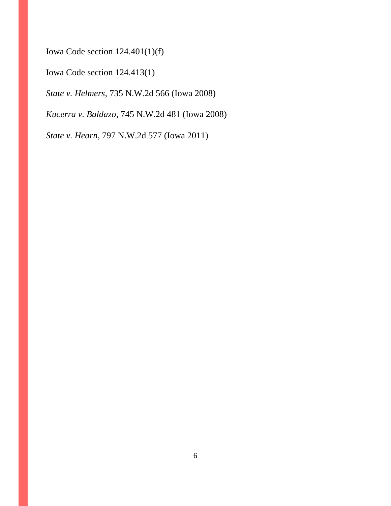Iowa Code section 124.401(1)(f)

Iowa Code section 124.413(1)

*State v. Helmers,* 735 N.W.2d 566 (Iowa 2008)

*Kucerra v. Baldazo*, 745 N.W.2d 481 (Iowa 2008)

*State v. Hearn*, 797 N.W.2d 577 (Iowa 2011)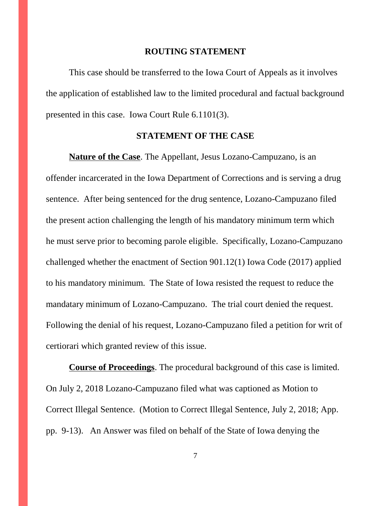#### **ROUTING STATEMENT**

This case should be transferred to the Iowa Court of Appeals as it involves the application of established law to the limited procedural and factual background presented in this case. Iowa Court Rule 6.1101(3).

#### **STATEMENT OF THE CASE**

**Nature of the Case**. The Appellant, Jesus Lozano-Campuzano, is an offender incarcerated in the Iowa Department of Corrections and is serving a drug sentence. After being sentenced for the drug sentence, Lozano-Campuzano filed the present action challenging the length of his mandatory minimum term which he must serve prior to becoming parole eligible. Specifically, Lozano-Campuzano challenged whether the enactment of Section 901.12(1) Iowa Code (2017) applied to his mandatory minimum. The State of Iowa resisted the request to reduce the mandatary minimum of Lozano-Campuzano. The trial court denied the request. Following the denial of his request, Lozano-Campuzano filed a petition for writ of certiorari which granted review of this issue.

**Course of Proceedings**. The procedural background of this case is limited. On July 2, 2018 Lozano-Campuzano filed what was captioned as Motion to Correct Illegal Sentence. (Motion to Correct Illegal Sentence, July 2, 2018; App. pp. 9-13). An Answer was filed on behalf of the State of Iowa denying the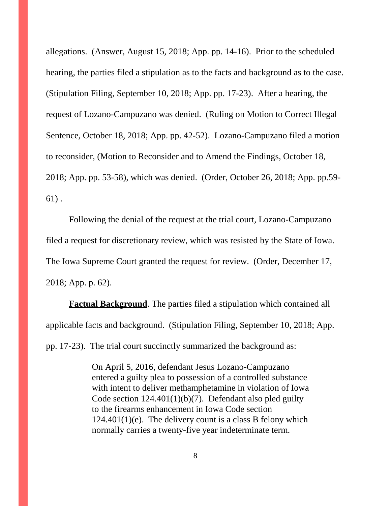allegations. (Answer, August 15, 2018; App. pp. 14-16). Prior to the scheduled hearing, the parties filed a stipulation as to the facts and background as to the case. (Stipulation Filing, September 10, 2018; App. pp. 17-23). After a hearing, the request of Lozano-Campuzano was denied. (Ruling on Motion to Correct Illegal Sentence, October 18, 2018; App. pp. 42-52). Lozano-Campuzano filed a motion to reconsider, (Motion to Reconsider and to Amend the Findings, October 18, 2018; App. pp. 53-58), which was denied. (Order, October 26, 2018; App. pp.59- 61) .

Following the denial of the request at the trial court, Lozano-Campuzano filed a request for discretionary review, which was resisted by the State of Iowa. The Iowa Supreme Court granted the request for review. (Order, December 17, 2018; App. p. 62).

**Factual Background**. The parties filed a stipulation which contained all applicable facts and background. (Stipulation Filing, September 10, 2018; App. pp. 17-23). The trial court succinctly summarized the background as:

> On April 5, 2016, defendant Jesus Lozano-Campuzano entered a guilty plea to possession of a controlled substance with intent to deliver methamphetamine in violation of Iowa Code section  $124.401(1)(b)(7)$ . Defendant also pled guilty to the firearms enhancement in Iowa Code section  $124.401(1)(e)$ . The delivery count is a class B felony which normally carries a twenty-five year indeterminate term.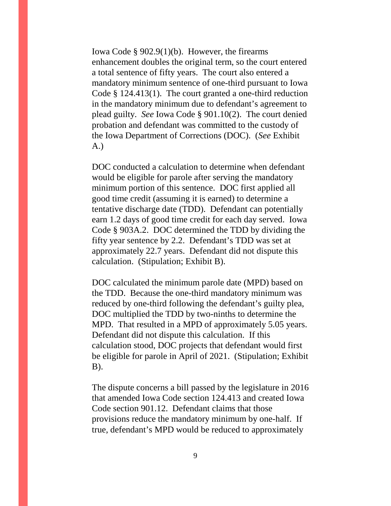Iowa Code § 902.9(1)(b). However, the firearms enhancement doubles the original term, so the court entered a total sentence of fifty years. The court also entered a mandatory minimum sentence of one-third pursuant to Iowa Code § 124.413(1). The court granted a one-third reduction in the mandatory minimum due to defendant's agreement to plead guilty. *See* Iowa Code § 901.10(2). The court denied probation and defendant was committed to the custody of the Iowa Department of Corrections (DOC). (*See* Exhibit A.)

DOC conducted a calculation to determine when defendant would be eligible for parole after serving the mandatory minimum portion of this sentence. DOC first applied all good time credit (assuming it is earned) to determine a tentative discharge date (TDD). Defendant can potentially earn 1.2 days of good time credit for each day served. Iowa Code § 903A.2. DOC determined the TDD by dividing the fifty year sentence by 2.2. Defendant's TDD was set at approximately 22.7 years. Defendant did not dispute this calculation. (Stipulation; Exhibit B).

DOC calculated the minimum parole date (MPD) based on the TDD. Because the one-third mandatory minimum was reduced by one-third following the defendant's guilty plea, DOC multiplied the TDD by two-ninths to determine the MPD. That resulted in a MPD of approximately 5.05 years. Defendant did not dispute this calculation. If this calculation stood, DOC projects that defendant would first be eligible for parole in April of 2021. (Stipulation; Exhibit B).

The dispute concerns a bill passed by the legislature in 2016 that amended Iowa Code section 124.413 and created Iowa Code section 901.12. Defendant claims that those provisions reduce the mandatory minimum by one-half. If true, defendant's MPD would be reduced to approximately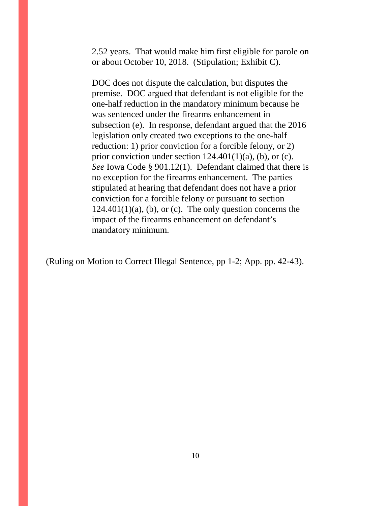2.52 years. That would make him first eligible for parole on or about October 10, 2018. (Stipulation; Exhibit C).

DOC does not dispute the calculation, but disputes the premise. DOC argued that defendant is not eligible for the one-half reduction in the mandatory minimum because he was sentenced under the firearms enhancement in subsection (e). In response, defendant argued that the 2016 legislation only created two exceptions to the one-half reduction: 1) prior conviction for a forcible felony, or 2) prior conviction under section  $124.401(1)(a)$ , (b), or (c). *See* Iowa Code § 901.12(1). Defendant claimed that there is no exception for the firearms enhancement. The parties stipulated at hearing that defendant does not have a prior conviction for a forcible felony or pursuant to section  $124.401(1)(a)$ , (b), or (c). The only question concerns the impact of the firearms enhancement on defendant's mandatory minimum.

(Ruling on Motion to Correct Illegal Sentence, pp 1-2; App. pp. 42-43).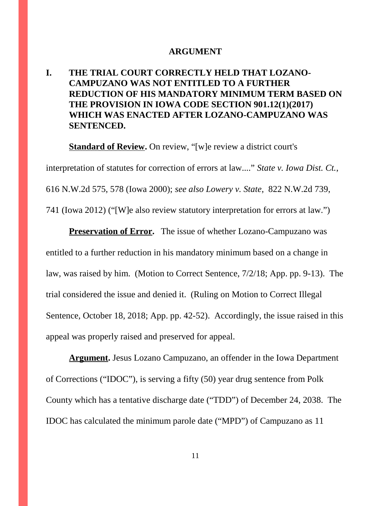#### **ARGUMENT**

# **I. THE TRIAL COURT CORRECTLY HELD THAT LOZANO-CAMPUZANO WAS NOT ENTITLED TO A FURTHER REDUCTION OF HIS MANDATORY MINIMUM TERM BASED ON THE PROVISION IN IOWA CODE SECTION 901.12(1)(2017) WHICH WAS ENACTED AFTER LOZANO-CAMPUZANO WAS SENTENCED.**

**Standard of Review.** On review, "[w]e review a district court's

interpretation of statutes for correction of errors at law...." *State v. Iowa Dist. Ct.*, 616 N.W.2d 575, 578 (Iowa 2000); *see also Lowery v. State*, 822 N.W.2d 739, 741 (Iowa 2012) ("[W]e also review statutory interpretation for errors at law.")

**Preservation of Error.** The issue of whether Lozano-Campuzano was entitled to a further reduction in his mandatory minimum based on a change in law, was raised by him. (Motion to Correct Sentence, 7/2/18; App. pp. 9-13). The trial considered the issue and denied it. (Ruling on Motion to Correct Illegal Sentence, October 18, 2018; App. pp. 42-52). Accordingly, the issue raised in this appeal was properly raised and preserved for appeal.

**Argument.** Jesus Lozano Campuzano, an offender in the Iowa Department of Corrections ("IDOC"), is serving a fifty (50) year drug sentence from Polk County which has a tentative discharge date ("TDD") of December 24, 2038. The IDOC has calculated the minimum parole date ("MPD") of Campuzano as 11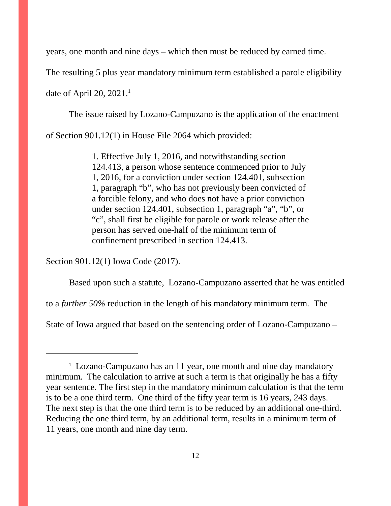years, one month and nine days – which then must be reduced by earned time.

The resulting 5 plus year mandatory minimum term established a parole eligibility

date of April 20, 2021.<sup>1</sup>

The issue raised by Lozano-Campuzano is the application of the enactment

of Section 901.12(1) in House File 2064 which provided:

1. Effective July 1, 2016, and notwithstanding section 124.413, a person whose sentence commenced prior to July 1, 2016, for a conviction under section 124.401, subsection 1, paragraph "b", who has not previously been convicted of a forcible felony, and who does not have a prior conviction under section 124.401, subsection 1, paragraph "a", "b", or "c", shall first be eligible for parole or work release after the person has served one-half of the minimum term of confinement prescribed in section 124.413.

Section 901.12(1) Iowa Code (2017).

Based upon such a statute, Lozano-Campuzano asserted that he was entitled

to a *further 50%* reduction in the length of his mandatory minimum term. The

State of Iowa argued that based on the sentencing order of Lozano-Campuzano –

<sup>&</sup>lt;sup>1</sup> Lozano-Campuzano has an 11 year, one month and nine day mandatory minimum. The calculation to arrive at such a term is that originally he has a fifty year sentence. The first step in the mandatory minimum calculation is that the term is to be a one third term. One third of the fifty year term is 16 years, 243 days. The next step is that the one third term is to be reduced by an additional one-third. Reducing the one third term, by an additional term, results in a minimum term of 11 years, one month and nine day term.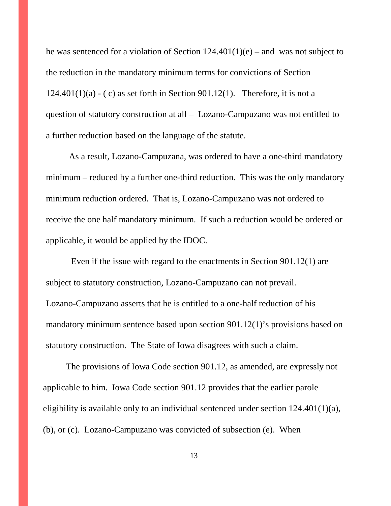he was sentenced for a violation of Section  $124.401(1)(e)$  – and was not subject to the reduction in the mandatory minimum terms for convictions of Section  $124.401(1)(a) - (c)$  as set forth in Section 901.12(1). Therefore, it is not a question of statutory construction at all – Lozano-Campuzano was not entitled to a further reduction based on the language of the statute.

As a result, Lozano-Campuzana, was ordered to have a one-third mandatory minimum – reduced by a further one-third reduction. This was the only mandatory minimum reduction ordered. That is, Lozano-Campuzano was not ordered to receive the one half mandatory minimum. If such a reduction would be ordered or applicable, it would be applied by the IDOC.

Even if the issue with regard to the enactments in Section 901.12(1) are subject to statutory construction, Lozano-Campuzano can not prevail. Lozano-Campuzano asserts that he is entitled to a one-half reduction of his mandatory minimum sentence based upon section 901.12(1)'s provisions based on statutory construction. The State of Iowa disagrees with such a claim.

The provisions of Iowa Code section 901.12, as amended, are expressly not applicable to him. Iowa Code section 901.12 provides that the earlier parole eligibility is available only to an individual sentenced under section 124.401(1)(a), (b), or (c). Lozano-Campuzano was convicted of subsection (e). When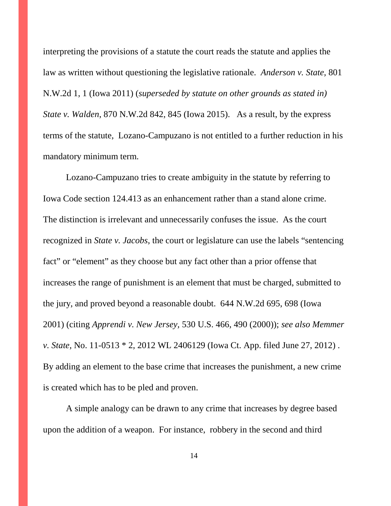interpreting the provisions of a statute the court reads the statute and applies the law as written without questioning the legislative rationale. *Anderson v. State,* 801 N.W.2d 1, 1 (Iowa 2011) (*superseded by statute on other grounds as stated in) State v. Walden*, 870 N.W.2d 842, 845 (Iowa 2015). As a result, by the express terms of the statute, Lozano-Campuzano is not entitled to a further reduction in his mandatory minimum term.

Lozano-Campuzano tries to create ambiguity in the statute by referring to Iowa Code section 124.413 as an enhancement rather than a stand alone crime. The distinction is irrelevant and unnecessarily confuses the issue. As the court recognized in *State v. Jacobs*, the court or legislature can use the labels "sentencing fact" or "element" as they choose but any fact other than a prior offense that increases the range of punishment is an element that must be charged, submitted to the jury, and proved beyond a reasonable doubt. 644 N.W.2d 695, 698 (Iowa 2001) (citing *Apprendi v. New Jersey,* 530 U.S. 466, 490 (2000)); *see also Memmer v. State,* No. 11-0513 \* 2, 2012 WL 2406129 (Iowa Ct. App. filed June 27, 2012) . By adding an element to the base crime that increases the punishment, a new crime is created which has to be pled and proven.

A simple analogy can be drawn to any crime that increases by degree based upon the addition of a weapon. For instance, robbery in the second and third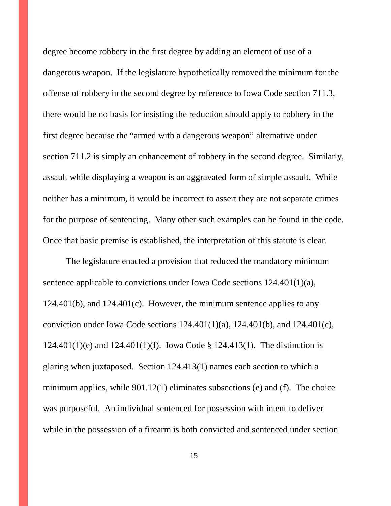degree become robbery in the first degree by adding an element of use of a dangerous weapon. If the legislature hypothetically removed the minimum for the offense of robbery in the second degree by reference to Iowa Code section 711.3, there would be no basis for insisting the reduction should apply to robbery in the first degree because the "armed with a dangerous weapon" alternative under section 711.2 is simply an enhancement of robbery in the second degree. Similarly, assault while displaying a weapon is an aggravated form of simple assault. While neither has a minimum, it would be incorrect to assert they are not separate crimes for the purpose of sentencing. Many other such examples can be found in the code. Once that basic premise is established, the interpretation of this statute is clear.

The legislature enacted a provision that reduced the mandatory minimum sentence applicable to convictions under Iowa Code sections 124.401(1)(a), 124.401(b), and 124.401(c). However, the minimum sentence applies to any conviction under Iowa Code sections  $124.401(1)(a)$ ,  $124.401(b)$ , and  $124.401(c)$ , 124.401(1)(e) and 124.401(1)(f). Iowa Code § 124.413(1). The distinction is glaring when juxtaposed. Section 124.413(1) names each section to which a minimum applies, while 901.12(1) eliminates subsections (e) and (f). The choice was purposeful. An individual sentenced for possession with intent to deliver while in the possession of a firearm is both convicted and sentenced under section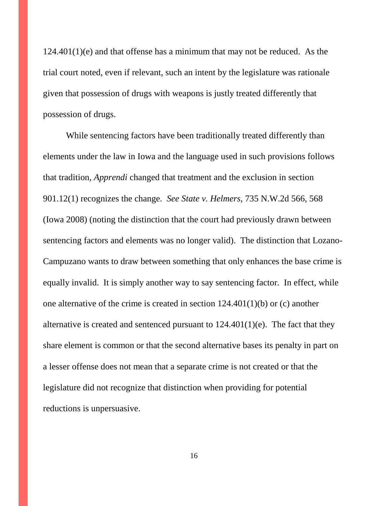$124.401(1)(e)$  and that offense has a minimum that may not be reduced. As the trial court noted, even if relevant, such an intent by the legislature was rationale given that possession of drugs with weapons is justly treated differently that possession of drugs.

While sentencing factors have been traditionally treated differently than elements under the law in Iowa and the language used in such provisions follows that tradition, *Apprendi* changed that treatment and the exclusion in section 901.12(1) recognizes the change. *See State v. Helmers,* 735 N.W.2d 566, 568 (Iowa 2008) (noting the distinction that the court had previously drawn between sentencing factors and elements was no longer valid). The distinction that Lozano-Campuzano wants to draw between something that only enhances the base crime is equally invalid. It is simply another way to say sentencing factor. In effect, while one alternative of the crime is created in section 124.401(1)(b) or (c) another alternative is created and sentenced pursuant to  $124.401(1)(e)$ . The fact that they share element is common or that the second alternative bases its penalty in part on a lesser offense does not mean that a separate crime is not created or that the legislature did not recognize that distinction when providing for potential reductions is unpersuasive.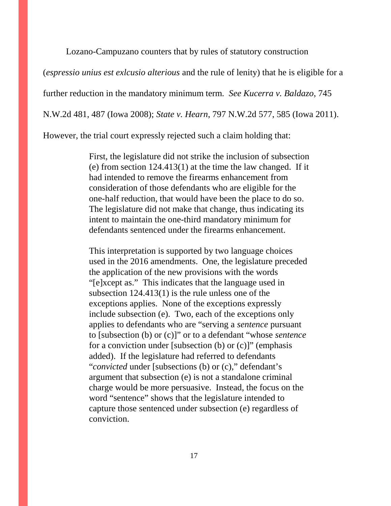Lozano-Campuzano counters that by rules of statutory construction

(*espressio unius est exlcusio alterious* and the rule of lenity) that he is eligible for a

further reduction in the mandatory minimum term. *See Kucerra v. Baldazo*, 745

N.W.2d 481, 487 (Iowa 2008); *State v. Hearn*, 797 N.W.2d 577, 585 (Iowa 2011).

However, the trial court expressly rejected such a claim holding that:

First, the legislature did not strike the inclusion of subsection (e) from section 124.413(1) at the time the law changed. If it had intended to remove the firearms enhancement from consideration of those defendants who are eligible for the one-half reduction, that would have been the place to do so. The legislature did not make that change, thus indicating its intent to maintain the one-third mandatory minimum for defendants sentenced under the firearms enhancement.

This interpretation is supported by two language choices used in the 2016 amendments. One, the legislature preceded the application of the new provisions with the words "[e]xcept as." This indicates that the language used in subsection 124.413(1) is the rule unless one of the exceptions applies. None of the exceptions expressly include subsection (e). Two, each of the exceptions only applies to defendants who are "serving a *sentence* pursuant to [subsection (b) or (c)]" or to a defendant "whose *sentence* for a conviction under [subsection  $(b)$  or  $(c)$ ]" (emphasis added). If the legislature had referred to defendants "*convicted* under [subsections (b) or (c)," defendant's argument that subsection (e) is not a standalone criminal charge would be more persuasive. Instead, the focus on the word "sentence" shows that the legislature intended to capture those sentenced under subsection (e) regardless of conviction.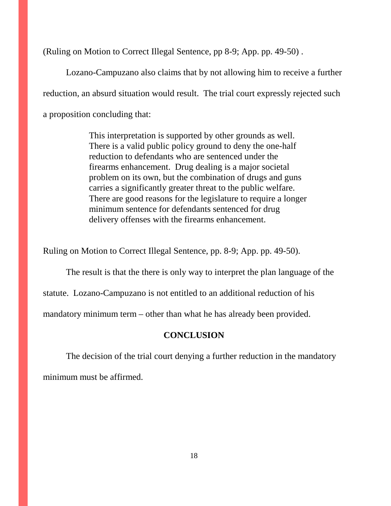(Ruling on Motion to Correct Illegal Sentence, pp 8-9; App. pp. 49-50) .

Lozano-Campuzano also claims that by not allowing him to receive a further reduction, an absurd situation would result. The trial court expressly rejected such a proposition concluding that:

> This interpretation is supported by other grounds as well. There is a valid public policy ground to deny the one-half reduction to defendants who are sentenced under the firearms enhancement. Drug dealing is a major societal problem on its own, but the combination of drugs and guns carries a significantly greater threat to the public welfare. There are good reasons for the legislature to require a longer minimum sentence for defendants sentenced for drug delivery offenses with the firearms enhancement.

Ruling on Motion to Correct Illegal Sentence, pp. 8-9; App. pp. 49-50).

The result is that the there is only way to interpret the plan language of the

statute. Lozano-Campuzano is not entitled to an additional reduction of his

mandatory minimum term – other than what he has already been provided.

#### **CONCLUSION**

The decision of the trial court denying a further reduction in the mandatory minimum must be affirmed.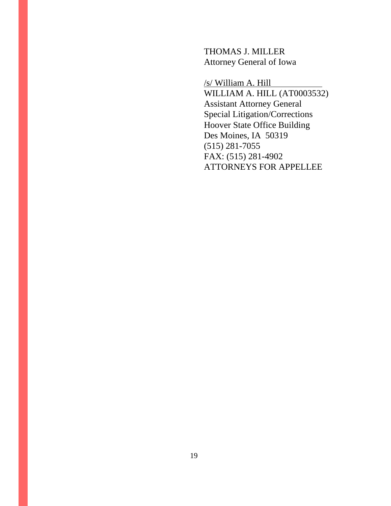THOMAS J. MILLER Attorney General of Iowa

/s/ William A. Hill

WILLIAM A. HILL (AT0003532) Assistant Attorney General Special Litigation/Corrections Hoover State Office Building Des Moines, IA 50319 (515) 281-7055 FAX: (515) 281-4902 ATTORNEYS FOR APPELLEE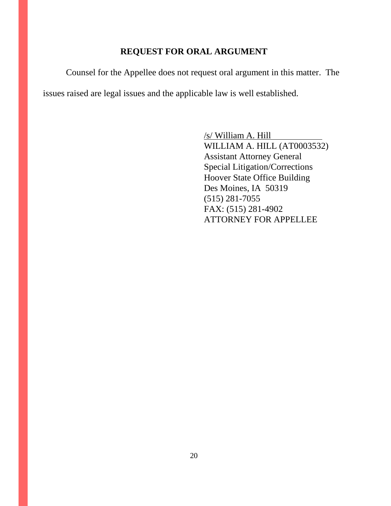### **REQUEST FOR ORAL ARGUMENT**

Counsel for the Appellee does not request oral argument in this matter. The issues raised are legal issues and the applicable law is well established.

> /s/ William A. Hill WILLIAM A. HILL (AT0003532) Assistant Attorney General Special Litigation/Corrections Hoover State Office Building Des Moines, IA 50319 (515) 281-7055 FAX: (515) 281-4902 ATTORNEY FOR APPELLEE